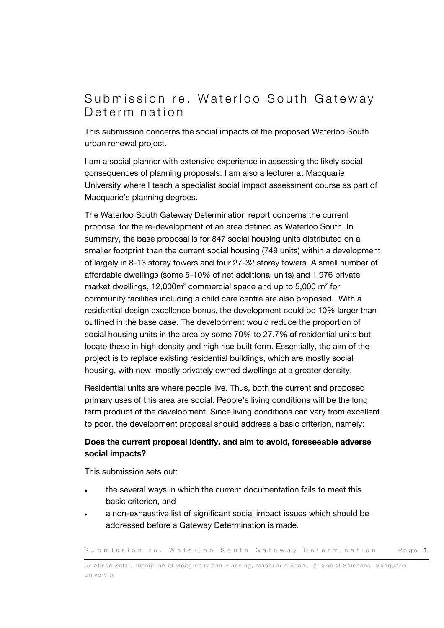## Submission re. Waterloo South Gateway Determination

This submission concerns the social impacts of the proposed Waterloo South urban renewal project.

I am a social planner with extensive experience in assessing the likely social consequences of planning proposals. I am also a lecturer at Macquarie University where I teach a specialist social impact assessment course as part of Macquarie's planning degrees.

The Waterloo South Gateway Determination report concerns the current proposal for the re-development of an area defined as Waterloo South. In summary, the base proposal is for 847 social housing units distributed on a smaller footprint than the current social housing (749 units) within a development of largely in 8-13 storey towers and four 27-32 storey towers. A small number of affordable dwellings (some 5-10% of net additional units) and 1,976 private market dwellings, 12,000 $m^2$  commercial space and up to 5,000  $m^2$  for community facilities including a child care centre are also proposed. With a residential design excellence bonus, the development could be 10% larger than outlined in the base case. The development would reduce the proportion of social housing units in the area by some 70% to 27.7% of residential units but locate these in high density and high rise built form. Essentially, the aim of the project is to replace existing residential buildings, which are mostly social housing, with new, mostly privately owned dwellings at a greater density.

Residential units are where people live. Thus, both the current and proposed primary uses of this area are social. People's living conditions will be the long term product of the development. Since living conditions can vary from excellent to poor, the development proposal should address a basic criterion, namely:

## **Does the current proposal identify, and aim to avoid, foreseeable adverse social impacts?**

This submission sets out:

- the several ways in which the current documentation fails to meet this basic criterion, and
- a non-exhaustive list of significant social impact issues which should be addressed before a Gateway Determination is made.

Submission re. Waterloo South Gateway Determination Page 1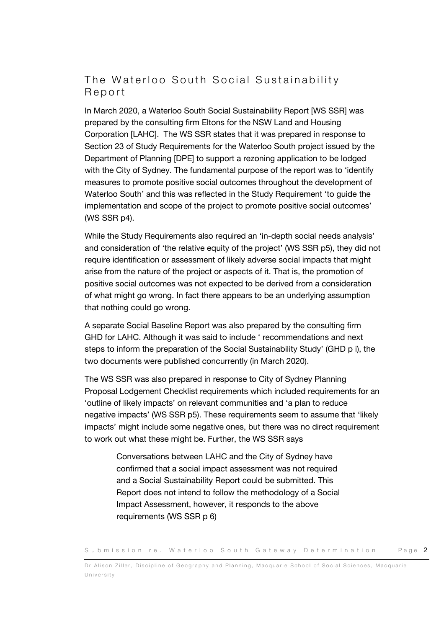## The Waterloo South Social Sustainability Report

In March 2020, a Waterloo South Social Sustainability Report [WS SSR] was prepared by the consulting firm Eltons for the NSW Land and Housing Corporation [LAHC]. The WS SSR states that it was prepared in response to Section 23 of Study Requirements for the Waterloo South project issued by the Department of Planning [DPE] to support a rezoning application to be lodged with the City of Sydney. The fundamental purpose of the report was to 'identify measures to promote positive social outcomes throughout the development of Waterloo South' and this was reflected in the Study Requirement 'to guide the implementation and scope of the project to promote positive social outcomes' (WS SSR p4).

While the Study Requirements also required an 'in-depth social needs analysis' and consideration of 'the relative equity of the project' (WS SSR p5), they did not require identification or assessment of likely adverse social impacts that might arise from the nature of the project or aspects of it. That is, the promotion of positive social outcomes was not expected to be derived from a consideration of what might go wrong. In fact there appears to be an underlying assumption that nothing could go wrong.

A separate Social Baseline Report was also prepared by the consulting firm GHD for LAHC. Although it was said to include ' recommendations and next steps to inform the preparation of the Social Sustainability Study' (GHD p i), the two documents were published concurrently (in March 2020).

The WS SSR was also prepared in response to City of Sydney Planning Proposal Lodgement Checklist requirements which included requirements for an 'outline of likely impacts' on relevant communities and 'a plan to reduce negative impacts' (WS SSR p5). These requirements seem to assume that 'likely impacts' might include some negative ones, but there was no direct requirement to work out what these might be. Further, the WS SSR says

> Conversations between LAHC and the City of Sydney have confirmed that a social impact assessment was not required and a Social Sustainability Report could be submitted. This Report does not intend to follow the methodology of a Social Impact Assessment, however, it responds to the above requirements (WS SSR p 6)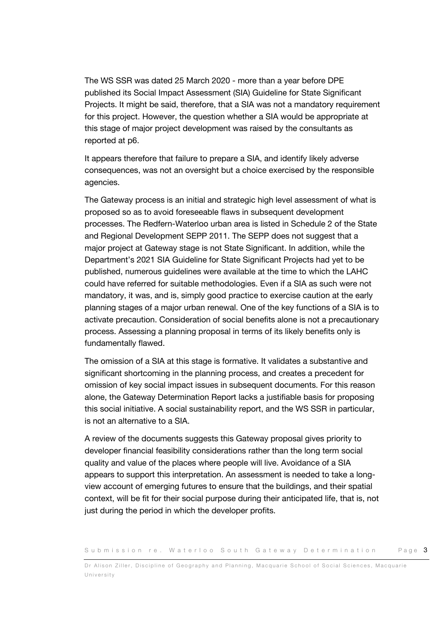The WS SSR was dated 25 March 2020 - more than a year before DPE published its Social Impact Assessment (SIA) Guideline for State Significant Projects. It might be said, therefore, that a SIA was not a mandatory requirement for this project. However, the question whether a SIA would be appropriate at this stage of major project development was raised by the consultants as reported at p6.

It appears therefore that failure to prepare a SIA, and identify likely adverse consequences, was not an oversight but a choice exercised by the responsible agencies.

The Gateway process is an initial and strategic high level assessment of what is proposed so as to avoid foreseeable flaws in subsequent development processes. The Redfern-Waterloo urban area is listed in Schedule 2 of the State and Regional Development SEPP 2011. The SEPP does not suggest that a major project at Gateway stage is not State Significant. In addition, while the Department's 2021 SIA Guideline for State Significant Projects had yet to be published, numerous guidelines were available at the time to which the LAHC could have referred for suitable methodologies. Even if a SIA as such were not mandatory, it was, and is, simply good practice to exercise caution at the early planning stages of a major urban renewal. One of the key functions of a SIA is to activate precaution. Consideration of social benefits alone is not a precautionary process. Assessing a planning proposal in terms of its likely benefits only is fundamentally flawed.

The omission of a SIA at this stage is formative. It validates a substantive and significant shortcoming in the planning process, and creates a precedent for omission of key social impact issues in subsequent documents. For this reason alone, the Gateway Determination Report lacks a justifiable basis for proposing this social initiative. A social sustainability report, and the WS SSR in particular, is not an alternative to a SIA.

A review of the documents suggests this Gateway proposal gives priority to developer financial feasibility considerations rather than the long term social quality and value of the places where people will live. Avoidance of a SIA appears to support this interpretation. An assessment is needed to take a longview account of emerging futures to ensure that the buildings, and their spatial context, will be fit for their social purpose during their anticipated life, that is, not just during the period in which the developer profits.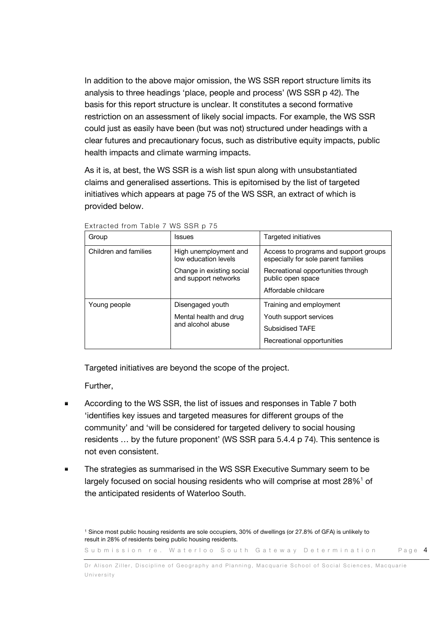In addition to the above major omission, the WS SSR report structure limits its analysis to three headings 'place, people and process' (WS SSR p 42). The basis for this report structure is unclear. It constitutes a second formative restriction on an assessment of likely social impacts. For example, the WS SSR could just as easily have been (but was not) structured under headings with a clear futures and precautionary focus, such as distributive equity impacts, public health impacts and climate warming impacts.

As it is, at best, the WS SSR is a wish list spun along with unsubstantiated claims and generalised assertions. This is epitomised by the list of targeted initiatives which appears at page 75 of the WS SSR, an extract of which is provided below.

| Group                 | <b>Issues</b>                                     | Targeted initiatives                                                         |
|-----------------------|---------------------------------------------------|------------------------------------------------------------------------------|
| Children and families | High unemployment and<br>low education levels     | Access to programs and support groups<br>especially for sole parent families |
|                       | Change in existing social<br>and support networks | Recreational opportunities through<br>public open space                      |
|                       |                                                   | Affordable childcare                                                         |
| Young people          | Disengaged youth                                  | Training and employment                                                      |
|                       | Mental health and drug<br>and alcohol abuse       | Youth support services                                                       |
|                       |                                                   | Subsidised TAFE                                                              |
|                       |                                                   | Recreational opportunities                                                   |

Extracted from Table 7 WS SSR p 75

Targeted initiatives are beyond the scope of the project.

Further,

- According to the WS SSR, the list of issues and responses in Table 7 both 'identifies key issues and targeted measures for different groups of the community' and 'will be considered for targeted delivery to social housing residents … by the future proponent' (WS SSR para 5.4.4 p 74). This sentence is not even consistent.
- The strategies as summarised in the WS SSR Executive Summary seem to be largely focused on social housing residents who will comprise at most 28%<sup>1</sup> of the anticipated residents of Waterloo South.

| Submission re. Waterloo South Gateway Determination<br>Page 4 |  |
|---------------------------------------------------------------|--|
|---------------------------------------------------------------|--|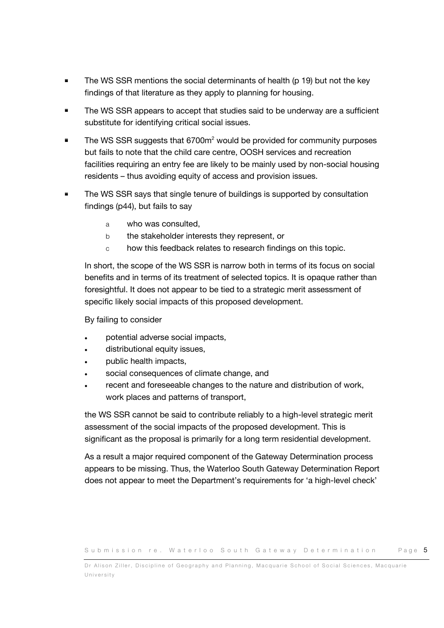- The WS SSR mentions the social determinants of health (p 19) but not the key findings of that literature as they apply to planning for housing.
- The WS SSR appears to accept that studies said to be underway are a sufficient substitute for identifying critical social issues.
- **The WS SSR suggests that 6700m<sup>2</sup> would be provided for community purposes** but fails to note that the child care centre, OOSH services and recreation facilities requiring an entry fee are likely to be mainly used by non-social housing residents – thus avoiding equity of access and provision issues.
- The WS SSR says that single tenure of buildings is supported by consultation findings (p44), but fails to say
	- a who was consulted,
	- b the stakeholder interests they represent, or
	- c how this feedback relates to research findings on this topic.

In short, the scope of the WS SSR is narrow both in terms of its focus on social benefits and in terms of its treatment of selected topics. It is opaque rather than foresightful. It does not appear to be tied to a strategic merit assessment of specific likely social impacts of this proposed development.

By failing to consider

- potential adverse social impacts,
- distributional equity issues,
- public health impacts,
- social consequences of climate change, and
- recent and foreseeable changes to the nature and distribution of work, work places and patterns of transport,

the WS SSR cannot be said to contribute reliably to a high-level strategic merit assessment of the social impacts of the proposed development. This is significant as the proposal is primarily for a long term residential development.

As a result a major required component of the Gateway Determination process appears to be missing. Thus, the Waterloo South Gateway Determination Report does not appear to meet the Department's requirements for 'a high-level check'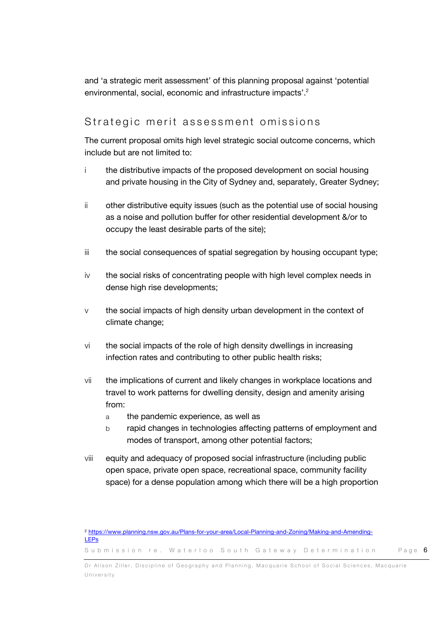and 'a strategic merit assessment' of this planning proposal against 'potential environmental, social, economic and infrastructure impacts'.<sup>2</sup>

## Strategic merit assessment omissions

The current proposal omits high level strategic social outcome concerns, which include but are not limited to:

- i the distributive impacts of the proposed development on social housing and private housing in the City of Sydney and, separately, Greater Sydney;
- ii other distributive equity issues (such as the potential use of social housing as a noise and pollution buffer for other residential development &/or to occupy the least desirable parts of the site);
- iii the social consequences of spatial segregation by housing occupant type;
- iv the social risks of concentrating people with high level complex needs in dense high rise developments;
- v the social impacts of high density urban development in the context of climate change;
- vi the social impacts of the role of high density dwellings in increasing infection rates and contributing to other public health risks;
- vii the implications of current and likely changes in workplace locations and travel to work patterns for dwelling density, design and amenity arising from:
	- a the pandemic experience, as well as
	- b rapid changes in technologies affecting patterns of employment and modes of transport, among other potential factors;
- viii equity and adequacy of proposed social infrastructure (including public open space, private open space, recreational space, community facility space) for a dense population among which there will be a high proportion

Submission re. Waterloo South Gateway Determination Page 6